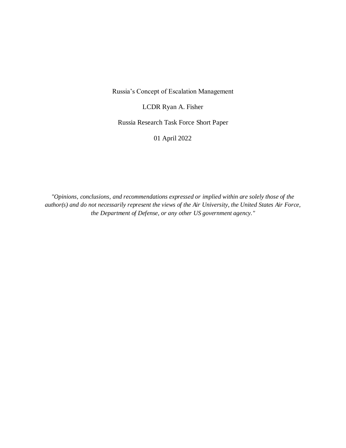Russia's Concept of Escalation Management

LCDR Ryan A. Fisher

Russia Research Task Force Short Paper

01 April 2022

*"Opinions, conclusions, and recommendations expressed or implied within are solely those of the author(s) and do not necessarily represent the views of the Air University, the United States Air Force, the Department of Defense, or any other US government agency."*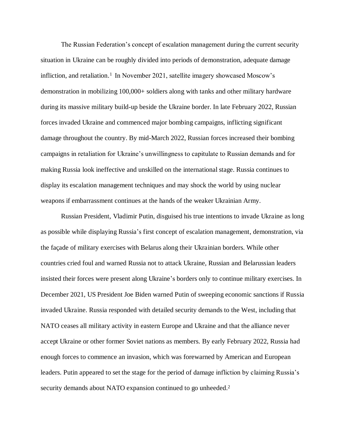The Russian Federation's concept of escalation management during the current security situation in Ukraine can be roughly divided into periods of demonstration, adequate damage infliction, and retaliation. 1 In November 2021, satellite imagery showcased Moscow's demonstration in mobilizing 100,000+ soldiers along with tanks and other military hardware during its massive military build-up beside the Ukraine border. In late February 2022, Russian forces invaded Ukraine and commenced major bombing campaigns, inflicting significant damage throughout the country. By mid-March 2022, Russian forces increased their bombing campaigns in retaliation for Ukraine's unwillingness to capitulate to Russian demands and for making Russia look ineffective and unskilled on the international stage. Russia continues to display its escalation management techniques and may shock the world by using nuclear weapons if embarrassment continues at the hands of the weaker Ukrainian Army.

Russian President, Vladimir Putin, disguised his true intentions to invade Ukraine as long as possible while displaying Russia's first concept of escalation management, demonstration, via the façade of military exercises with Belarus along their Ukrainian borders. While other countries cried foul and warned Russia not to attack Ukraine, Russian and Belarussian leaders insisted their forces were present along Ukraine's borders only to continue military exercises. In December 2021, US President Joe Biden warned Putin of sweeping economic sanctions if Russia invaded Ukraine. Russia responded with detailed security demands to the West, including that NATO ceases all military activity in eastern Europe and Ukraine and that the alliance never accept Ukraine or other former Soviet nations as members. By early February 2022, Russia had enough forces to commence an invasion, which was forewarned by American and European leaders. Putin appeared to set the stage for the period of damage infliction by claiming Russia's security demands about NATO expansion continued to go unheeded.<sup>2</sup>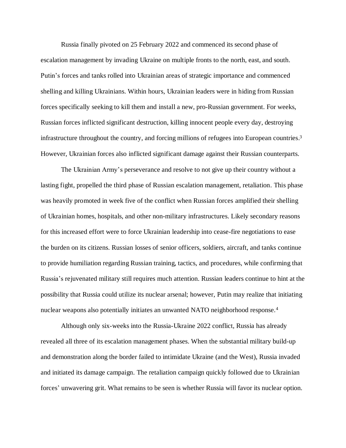Russia finally pivoted on 25 February 2022 and commenced its second phase of escalation management by invading Ukraine on multiple fronts to the north, east, and south. Putin's forces and tanks rolled into Ukrainian areas of strategic importance and commenced shelling and killing Ukrainians. Within hours, Ukrainian leaders were in hiding from Russian forces specifically seeking to kill them and install a new, pro-Russian government. For weeks, Russian forces inflicted significant destruction, killing innocent people every day, destroying infrastructure throughout the country, and forcing millions of refugees into European countries. 3 However, Ukrainian forces also inflicted significant damage against their Russian counterparts.

The Ukrainian Army's perseverance and resolve to not give up their country without a lasting fight, propelled the third phase of Russian escalation management, retaliation. This phase was heavily promoted in week five of the conflict when Russian forces amplified their shelling of Ukrainian homes, hospitals, and other non-military infrastructures. Likely secondary reasons for this increased effort were to force Ukrainian leadership into cease-fire negotiations to ease the burden on its citizens. Russian losses of senior officers, soldiers, aircraft, and tanks continue to provide humiliation regarding Russian training, tactics, and procedures, while confirming that Russia's rejuvenated military still requires much attention. Russian leaders continue to hint at the possibility that Russia could utilize its nuclear arsenal; however, Putin may realize that initiating nuclear weapons also potentially initiates an unwanted NATO neighborhood response. 4

Although only six-weeks into the Russia-Ukraine 2022 conflict, Russia has already revealed all three of its escalation management phases. When the substantial military build-up and demonstration along the border failed to intimidate Ukraine (and the West), Russia invaded and initiated its damage campaign. The retaliation campaign quickly followed due to Ukrainian forces' unwavering grit. What remains to be seen is whether Russia will favor its nuclear option.